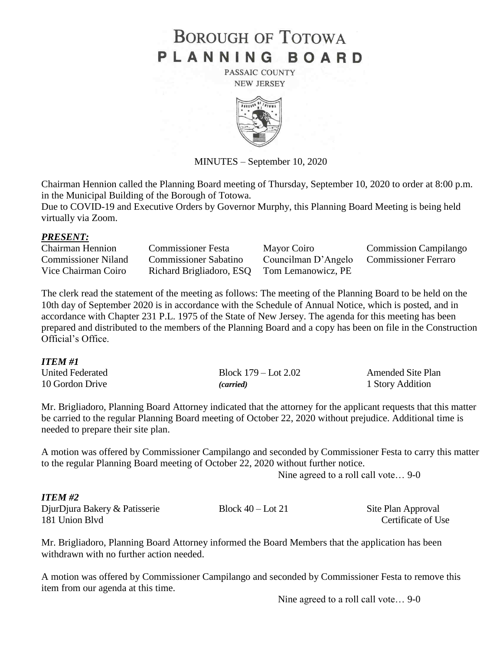# **BOROUGH OF TOTOWA** PLANNING BOARD

PASSAIC COUNTY **NEW JERSEY** 



MINUTES – September 10, 2020

Chairman Hennion called the Planning Board meeting of Thursday, September 10, 2020 to order at 8:00 p.m. in the Municipal Building of the Borough of Totowa.

Due to COVID-19 and Executive Orders by Governor Murphy, this Planning Board Meeting is being held virtually via Zoom.

### *PRESENT:*

| <b>Chairman Hennion</b> | <b>Commissioner Festa</b>                   | Mayor Coiro         | <b>Commission Campilango</b> |
|-------------------------|---------------------------------------------|---------------------|------------------------------|
| Commissioner Niland     | <b>Commissioner Sabatino</b>                | Councilman D'Angelo | <b>Commissioner Ferraro</b>  |
| Vice Chairman Coiro     | Richard Brigliadoro, ESQ Tom Lemanowicz, PE |                     |                              |

The clerk read the statement of the meeting as follows: The meeting of the Planning Board to be held on the 10th day of September 2020 is in accordance with the Schedule of Annual Notice, which is posted, and in accordance with Chapter 231 P.L. 1975 of the State of New Jersey. The agenda for this meeting has been prepared and distributed to the members of the Planning Board and a copy has been on file in the Construction Official's Office.

### *ITEM #1*

| United Federated | Block $179 -$ Lot $2.02$ | <b>Amended Site Plan</b> |
|------------------|--------------------------|--------------------------|
| 10 Gordon Drive  | (carried)                | 1 Story Addition         |

Mr. Brigliadoro, Planning Board Attorney indicated that the attorney for the applicant requests that this matter be carried to the regular Planning Board meeting of October 22, 2020 without prejudice. Additional time is needed to prepare their site plan.

A motion was offered by Commissioner Campilango and seconded by Commissioner Festa to carry this matter to the regular Planning Board meeting of October 22, 2020 without further notice.

Nine agreed to a roll call vote… 9-0

### *ITEM #2*

DjurDjura Bakery & Patisserie Block 40 – Lot 21 Site Plan Approval 181 Union Blvd Certificate of Use

Mr. Brigliadoro, Planning Board Attorney informed the Board Members that the application has been withdrawn with no further action needed.

A motion was offered by Commissioner Campilango and seconded by Commissioner Festa to remove this item from our agenda at this time.

Nine agreed to a roll call vote… 9-0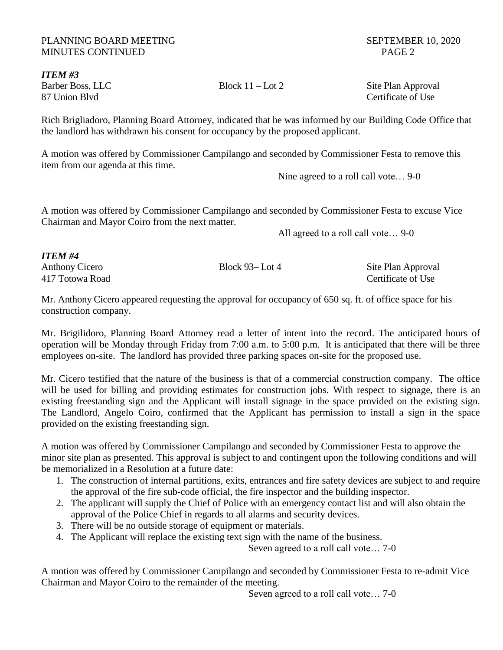# PLANNING BOARD MEETING SEPTEMBER 10, 2020 MINUTES CONTINUED PAGE 2

*ITEM #3* Barber Boss, LLC Block 11 – Lot 2 Site Plan Approval 87 Union Blvd Certificate of Use

Rich Brigliadoro, Planning Board Attorney, indicated that he was informed by our Building Code Office that the landlord has withdrawn his consent for occupancy by the proposed applicant.

A motion was offered by Commissioner Campilango and seconded by Commissioner Festa to remove this item from our agenda at this time.

Nine agreed to a roll call vote… 9-0

A motion was offered by Commissioner Campilango and seconded by Commissioner Festa to excuse Vice Chairman and Mayor Coiro from the next matter.

All agreed to a roll call vote… 9-0

| <b>ITEM#4</b>         |                    |                    |
|-----------------------|--------------------|--------------------|
| <b>Anthony Cicero</b> | Block $93 -$ Lot 4 | Site Plan Approval |
| 417 Totowa Road       |                    | Certificate of Use |

Mr. Anthony Cicero appeared requesting the approval for occupancy of 650 sq. ft. of office space for his construction company.

Mr. Brigilidoro, Planning Board Attorney read a letter of intent into the record. The anticipated hours of operation will be Monday through Friday from 7:00 a.m. to 5:00 p.m. It is anticipated that there will be three employees on-site. The landlord has provided three parking spaces on-site for the proposed use.

Mr. Cicero testified that the nature of the business is that of a commercial construction company. The office will be used for billing and providing estimates for construction jobs. With respect to signage, there is an existing freestanding sign and the Applicant will install signage in the space provided on the existing sign. The Landlord, Angelo Coiro, confirmed that the Applicant has permission to install a sign in the space provided on the existing freestanding sign.

A motion was offered by Commissioner Campilango and seconded by Commissioner Festa to approve the minor site plan as presented. This approval is subject to and contingent upon the following conditions and will be memorialized in a Resolution at a future date:

- 1. The construction of internal partitions, exits, entrances and fire safety devices are subject to and require the approval of the fire sub-code official, the fire inspector and the building inspector.
- 2. The applicant will supply the Chief of Police with an emergency contact list and will also obtain the approval of the Police Chief in regards to all alarms and security devices.
- 3. There will be no outside storage of equipment or materials.
- 4. The Applicant will replace the existing text sign with the name of the business.

Seven agreed to a roll call vote… 7-0

A motion was offered by Commissioner Campilango and seconded by Commissioner Festa to re-admit Vice Chairman and Mayor Coiro to the remainder of the meeting.

Seven agreed to a roll call vote… 7-0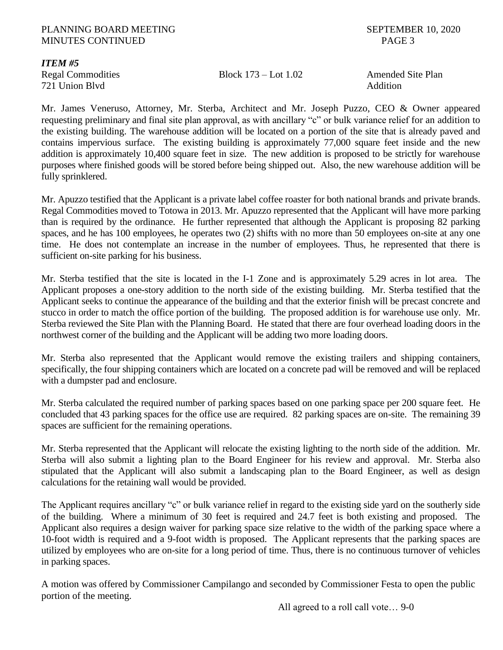### PLANNING BOARD MEETING SEPTEMBER 10, 2020 MINUTES CONTINUED PAGE 3

# *ITEM #5*

721 Union Blvd **Addition** 

# Regal Commodities Block 173 – Lot 1.02 Amended Site Plan

Mr. James Veneruso, Attorney, Mr. Sterba, Architect and Mr. Joseph Puzzo, CEO & Owner appeared requesting preliminary and final site plan approval, as with ancillary "c" or bulk variance relief for an addition to the existing building. The warehouse addition will be located on a portion of the site that is already paved and contains impervious surface. The existing building is approximately 77,000 square feet inside and the new addition is approximately 10,400 square feet in size. The new addition is proposed to be strictly for warehouse purposes where finished goods will be stored before being shipped out. Also, the new warehouse addition will be fully sprinklered.

Mr. Apuzzo testified that the Applicant is a private label coffee roaster for both national brands and private brands. Regal Commodities moved to Totowa in 2013. Mr. Apuzzo represented that the Applicant will have more parking than is required by the ordinance. He further represented that although the Applicant is proposing 82 parking spaces, and he has 100 employees, he operates two (2) shifts with no more than 50 employees on-site at any one time. He does not contemplate an increase in the number of employees. Thus, he represented that there is sufficient on-site parking for his business.

Mr. Sterba testified that the site is located in the I-1 Zone and is approximately 5.29 acres in lot area. The Applicant proposes a one-story addition to the north side of the existing building. Mr. Sterba testified that the Applicant seeks to continue the appearance of the building and that the exterior finish will be precast concrete and stucco in order to match the office portion of the building. The proposed addition is for warehouse use only. Mr. Sterba reviewed the Site Plan with the Planning Board. He stated that there are four overhead loading doors in the northwest corner of the building and the Applicant will be adding two more loading doors.

Mr. Sterba also represented that the Applicant would remove the existing trailers and shipping containers, specifically, the four shipping containers which are located on a concrete pad will be removed and will be replaced with a dumpster pad and enclosure.

Mr. Sterba calculated the required number of parking spaces based on one parking space per 200 square feet. He concluded that 43 parking spaces for the office use are required. 82 parking spaces are on-site. The remaining 39 spaces are sufficient for the remaining operations.

Mr. Sterba represented that the Applicant will relocate the existing lighting to the north side of the addition. Mr. Sterba will also submit a lighting plan to the Board Engineer for his review and approval. Mr. Sterba also stipulated that the Applicant will also submit a landscaping plan to the Board Engineer, as well as design calculations for the retaining wall would be provided.

The Applicant requires ancillary "c" or bulk variance relief in regard to the existing side yard on the southerly side of the building. Where a minimum of 30 feet is required and 24.7 feet is both existing and proposed. The Applicant also requires a design waiver for parking space size relative to the width of the parking space where a 10-foot width is required and a 9-foot width is proposed. The Applicant represents that the parking spaces are utilized by employees who are on-site for a long period of time. Thus, there is no continuous turnover of vehicles in parking spaces.

A motion was offered by Commissioner Campilango and seconded by Commissioner Festa to open the public portion of the meeting.

All agreed to a roll call vote… 9-0